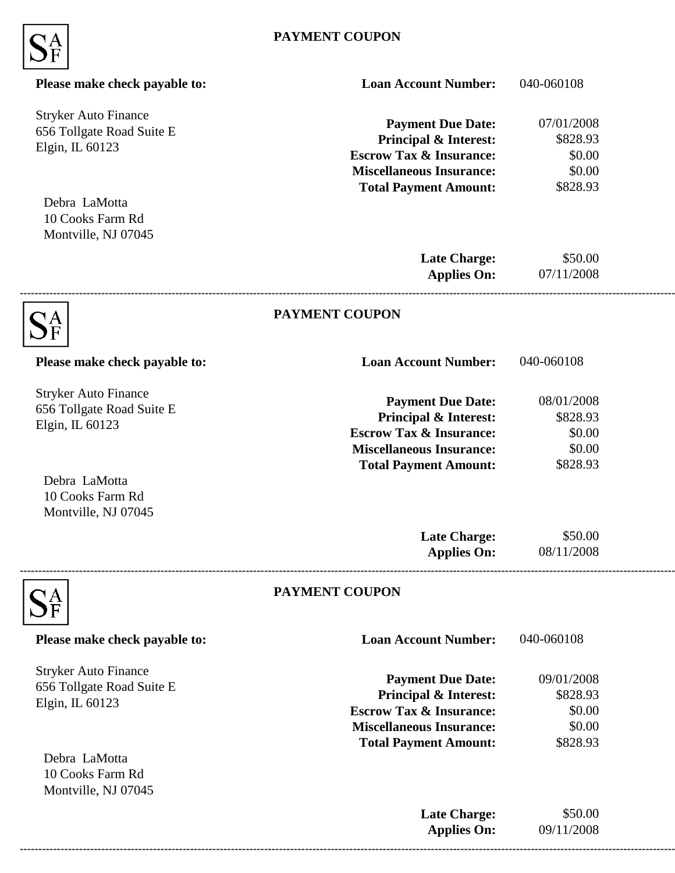

| Please make check payable to:                                               | <b>Loan Account Number:</b>                                                                                                                                           | 040-060108                                             |  |
|-----------------------------------------------------------------------------|-----------------------------------------------------------------------------------------------------------------------------------------------------------------------|--------------------------------------------------------|--|
| <b>Stryker Auto Finance</b><br>656 Tollgate Road Suite E<br>Elgin, IL 60123 | <b>Payment Due Date:</b><br>Principal & Interest:<br><b>Escrow Tax &amp; Insurance:</b><br><b>Miscellaneous Insurance:</b><br><b>Total Payment Amount:</b>            | 07/01/2008<br>\$828.93<br>\$0.00<br>\$0.00<br>\$828.93 |  |
| Debra LaMotta<br>10 Cooks Farm Rd<br>Montville, NJ 07045                    |                                                                                                                                                                       |                                                        |  |
|                                                                             | <b>Late Charge:</b><br><b>Applies On:</b>                                                                                                                             | \$50.00<br>07/11/2008                                  |  |
|                                                                             | <b>PAYMENT COUPON</b>                                                                                                                                                 |                                                        |  |
| Please make check payable to:                                               | <b>Loan Account Number:</b>                                                                                                                                           | 040-060108                                             |  |
| <b>Stryker Auto Finance</b><br>656 Tollgate Road Suite E<br>Elgin, IL 60123 | <b>Payment Due Date:</b><br><b>Principal &amp; Interest:</b><br><b>Escrow Tax &amp; Insurance:</b><br><b>Miscellaneous Insurance:</b>                                 | 08/01/2008<br>\$828.93<br>\$0.00<br>\$0.00             |  |
| Debra LaMotta<br>10 Cooks Farm Rd<br>Montville, NJ 07045                    | <b>Total Payment Amount:</b>                                                                                                                                          | \$828.93                                               |  |
|                                                                             | <b>Late Charge:</b><br><b>Applies On:</b>                                                                                                                             | \$50.00<br>08/11/2008                                  |  |
|                                                                             | PAYMENT COUPON                                                                                                                                                        |                                                        |  |
| Please make check payable to:                                               | <b>Loan Account Number:</b>                                                                                                                                           | 040-060108                                             |  |
| <b>Stryker Auto Finance</b><br>656 Tollgate Road Suite E<br>Elgin, IL 60123 | <b>Payment Due Date:</b><br><b>Principal &amp; Interest:</b><br><b>Escrow Tax &amp; Insurance:</b><br><b>Miscellaneous Insurance:</b><br><b>Total Payment Amount:</b> | 09/01/2008<br>\$828.93<br>\$0.00<br>\$0.00<br>\$828.93 |  |
| Debra LaMotta<br>10 Cooks Farm Rd<br>Montville, NJ 07045                    |                                                                                                                                                                       |                                                        |  |
|                                                                             | <b>Late Charge:</b><br><b>Applies On:</b>                                                                                                                             | \$50.00<br>09/11/2008                                  |  |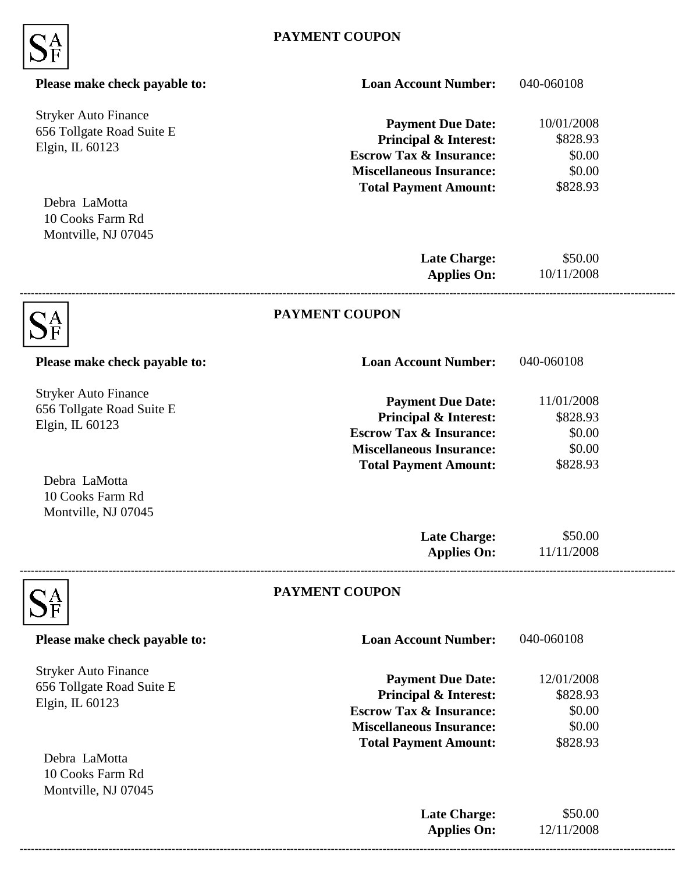

| Please make check payable to:                                               | <b>Loan Account Number:</b>                                                                                                                                           | 040-060108                                             |  |
|-----------------------------------------------------------------------------|-----------------------------------------------------------------------------------------------------------------------------------------------------------------------|--------------------------------------------------------|--|
| <b>Stryker Auto Finance</b><br>656 Tollgate Road Suite E<br>Elgin, IL 60123 | <b>Payment Due Date:</b><br>Principal & Interest:<br><b>Escrow Tax &amp; Insurance:</b><br><b>Miscellaneous Insurance:</b><br><b>Total Payment Amount:</b>            | 10/01/2008<br>\$828.93<br>\$0.00<br>\$0.00<br>\$828.93 |  |
| Debra LaMotta<br>10 Cooks Farm Rd<br>Montville, NJ 07045                    |                                                                                                                                                                       |                                                        |  |
|                                                                             | <b>Late Charge:</b><br><b>Applies On:</b>                                                                                                                             | \$50.00<br>10/11/2008                                  |  |
|                                                                             | <b>PAYMENT COUPON</b>                                                                                                                                                 |                                                        |  |
| Please make check payable to:                                               | <b>Loan Account Number:</b>                                                                                                                                           | 040-060108                                             |  |
| <b>Stryker Auto Finance</b><br>656 Tollgate Road Suite E<br>Elgin, IL 60123 | <b>Payment Due Date:</b><br><b>Principal &amp; Interest:</b><br><b>Escrow Tax &amp; Insurance:</b><br><b>Miscellaneous Insurance:</b>                                 | 11/01/2008<br>\$828.93<br>\$0.00<br>\$0.00             |  |
| Debra LaMotta<br>10 Cooks Farm Rd<br>Montville, NJ 07045                    | <b>Total Payment Amount:</b>                                                                                                                                          | \$828.93                                               |  |
|                                                                             | <b>Late Charge:</b><br><b>Applies On:</b>                                                                                                                             | \$50.00<br>11/11/2008                                  |  |
|                                                                             | PAYMENT COUPON                                                                                                                                                        |                                                        |  |
| Please make check payable to:                                               | <b>Loan Account Number:</b>                                                                                                                                           | 040-060108                                             |  |
| <b>Stryker Auto Finance</b><br>656 Tollgate Road Suite E<br>Elgin, IL 60123 | <b>Payment Due Date:</b><br><b>Principal &amp; Interest:</b><br><b>Escrow Tax &amp; Insurance:</b><br><b>Miscellaneous Insurance:</b><br><b>Total Payment Amount:</b> | 12/01/2008<br>\$828.93<br>\$0.00<br>\$0.00<br>\$828.93 |  |
| Debra LaMotta<br>10 Cooks Farm Rd<br>Montville, NJ 07045                    |                                                                                                                                                                       |                                                        |  |
|                                                                             | <b>Late Charge:</b><br><b>Applies On:</b>                                                                                                                             | \$50.00<br>12/11/2008                                  |  |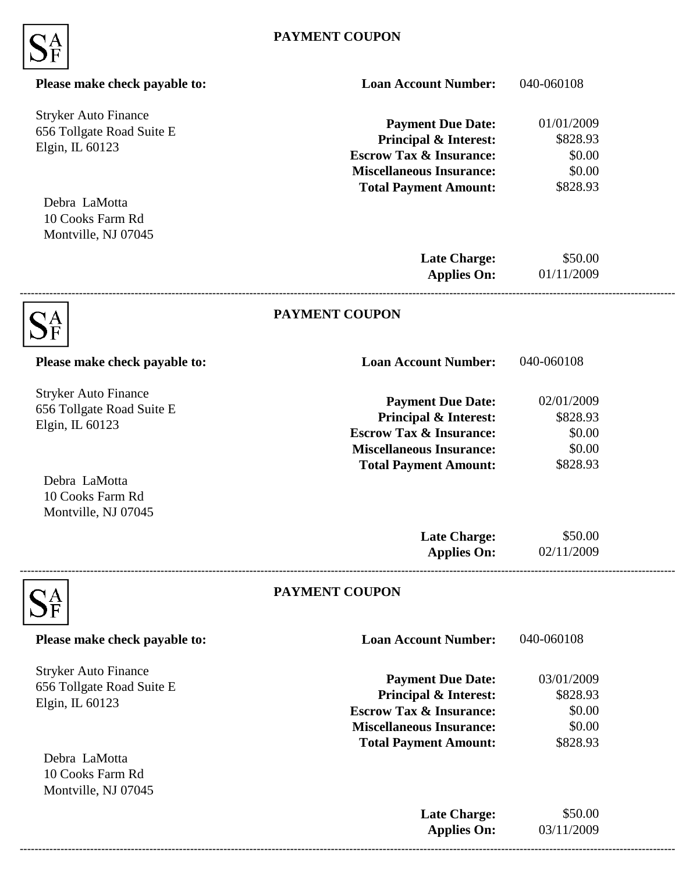

| Please make check payable to:                                               | <b>Loan Account Number:</b>                                                                                                                                           | 040-060108                                             |  |
|-----------------------------------------------------------------------------|-----------------------------------------------------------------------------------------------------------------------------------------------------------------------|--------------------------------------------------------|--|
| <b>Stryker Auto Finance</b><br>656 Tollgate Road Suite E<br>Elgin, IL 60123 | <b>Payment Due Date:</b><br>Principal & Interest:<br><b>Escrow Tax &amp; Insurance:</b><br><b>Miscellaneous Insurance:</b><br><b>Total Payment Amount:</b>            | 01/01/2009<br>\$828.93<br>\$0.00<br>\$0.00<br>\$828.93 |  |
| Debra LaMotta<br>10 Cooks Farm Rd<br>Montville, NJ 07045                    |                                                                                                                                                                       |                                                        |  |
|                                                                             | <b>Late Charge:</b><br><b>Applies On:</b>                                                                                                                             | \$50.00<br>01/11/2009                                  |  |
|                                                                             | <b>PAYMENT COUPON</b>                                                                                                                                                 |                                                        |  |
| Please make check payable to:                                               | <b>Loan Account Number:</b>                                                                                                                                           | 040-060108                                             |  |
| <b>Stryker Auto Finance</b><br>656 Tollgate Road Suite E<br>Elgin, IL 60123 | <b>Payment Due Date:</b><br><b>Principal &amp; Interest:</b><br><b>Escrow Tax &amp; Insurance:</b><br><b>Miscellaneous Insurance:</b>                                 | 02/01/2009<br>\$828.93<br>\$0.00<br>\$0.00             |  |
| Debra LaMotta<br>10 Cooks Farm Rd<br>Montville, NJ 07045                    | <b>Total Payment Amount:</b>                                                                                                                                          | \$828.93                                               |  |
|                                                                             | <b>Late Charge:</b><br><b>Applies On:</b>                                                                                                                             | \$50.00<br>02/11/2009                                  |  |
|                                                                             | PAYMENT COUPON                                                                                                                                                        |                                                        |  |
| Please make check payable to:                                               | <b>Loan Account Number:</b>                                                                                                                                           | 040-060108                                             |  |
| <b>Stryker Auto Finance</b><br>656 Tollgate Road Suite E<br>Elgin, IL 60123 | <b>Payment Due Date:</b><br><b>Principal &amp; Interest:</b><br><b>Escrow Tax &amp; Insurance:</b><br><b>Miscellaneous Insurance:</b><br><b>Total Payment Amount:</b> | 03/01/2009<br>\$828.93<br>\$0.00<br>\$0.00<br>\$828.93 |  |
| Debra LaMotta<br>10 Cooks Farm Rd<br>Montville, NJ 07045                    |                                                                                                                                                                       |                                                        |  |
|                                                                             | <b>Late Charge:</b><br><b>Applies On:</b>                                                                                                                             | \$50.00<br>03/11/2009                                  |  |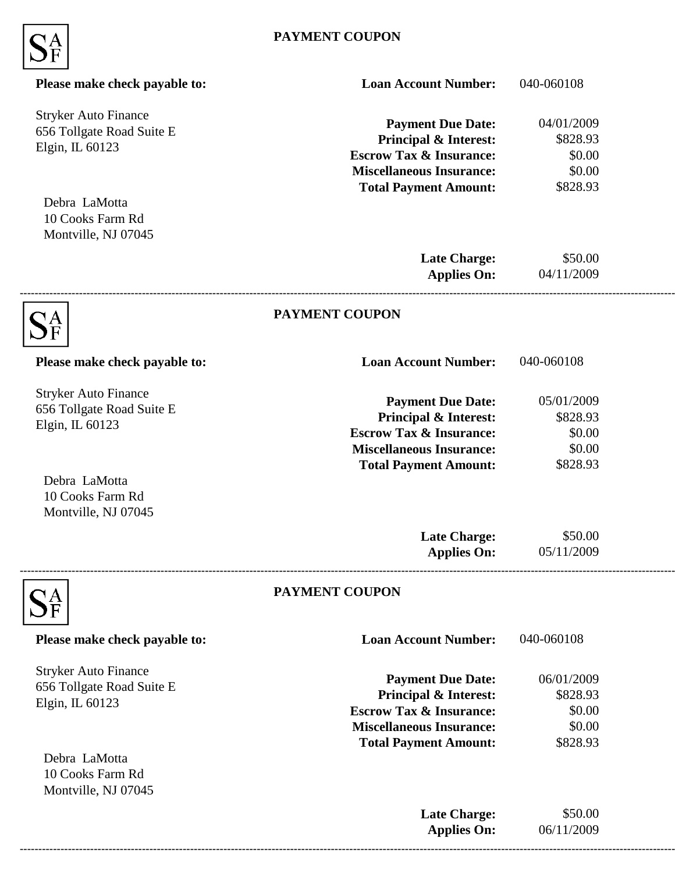

| Please make check payable to:                                                                | <b>Loan Account Number:</b>                                                                                                                                           | 040-060108                                             |  |
|----------------------------------------------------------------------------------------------|-----------------------------------------------------------------------------------------------------------------------------------------------------------------------|--------------------------------------------------------|--|
| <b>Stryker Auto Finance</b><br>656 Tollgate Road Suite E<br>Elgin, IL 60123                  | <b>Payment Due Date:</b><br><b>Principal &amp; Interest:</b><br><b>Escrow Tax &amp; Insurance:</b><br><b>Miscellaneous Insurance:</b><br><b>Total Payment Amount:</b> | 04/01/2009<br>\$828.93<br>\$0.00<br>\$0.00<br>\$828.93 |  |
| Debra LaMotta<br>10 Cooks Farm Rd<br>Montville, NJ 07045                                     |                                                                                                                                                                       |                                                        |  |
|                                                                                              | <b>Late Charge:</b><br><b>Applies On:</b>                                                                                                                             | \$50.00<br>04/11/2009                                  |  |
|                                                                                              | <b>PAYMENT COUPON</b>                                                                                                                                                 |                                                        |  |
| Please make check payable to:                                                                | <b>Loan Account Number:</b>                                                                                                                                           | 040-060108                                             |  |
| <b>Stryker Auto Finance</b><br>656 Tollgate Road Suite E<br>Elgin, IL 60123                  | <b>Payment Due Date:</b><br><b>Principal &amp; Interest:</b><br><b>Escrow Tax &amp; Insurance:</b><br><b>Miscellaneous Insurance:</b>                                 | 05/01/2009<br>\$828.93<br>\$0.00<br>\$0.00             |  |
| Debra LaMotta<br>10 Cooks Farm Rd<br>Montville, NJ 07045                                     | <b>Total Payment Amount:</b>                                                                                                                                          | \$828.93                                               |  |
|                                                                                              | <b>Late Charge:</b><br><b>Applies On:</b>                                                                                                                             | \$50.00<br>05/11/2009                                  |  |
|                                                                                              | PAYMENT COUPON                                                                                                                                                        |                                                        |  |
| Please make check payable to:                                                                | <b>Loan Account Number:</b>                                                                                                                                           | 040-060108                                             |  |
| <b>Stryker Auto Finance</b><br>656 Tollgate Road Suite E<br>Elgin, IL 60123<br>Debra LaMotta | <b>Payment Due Date:</b><br><b>Principal &amp; Interest:</b><br><b>Escrow Tax &amp; Insurance:</b><br><b>Miscellaneous Insurance:</b><br><b>Total Payment Amount:</b> | 06/01/2009<br>\$828.93<br>\$0.00<br>\$0.00<br>\$828.93 |  |
| 10 Cooks Farm Rd<br>Montville, NJ 07045                                                      |                                                                                                                                                                       |                                                        |  |
|                                                                                              | <b>Late Charge:</b><br><b>Applies On:</b>                                                                                                                             | \$50.00<br>06/11/2009                                  |  |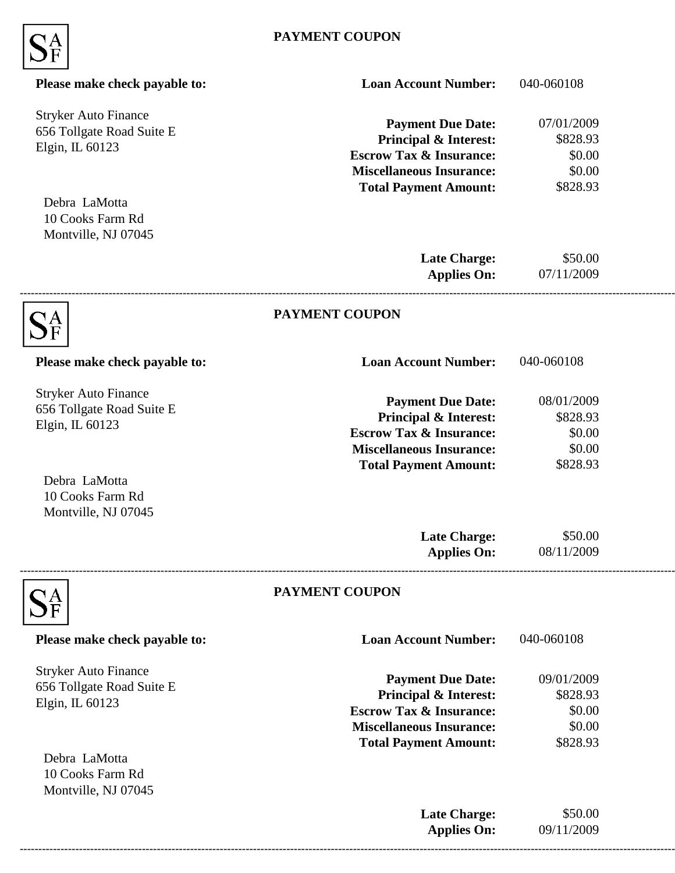

| Please make check payable to:                                               | <b>Loan Account Number:</b>                                                                                                                                           | 040-060108                                             |  |
|-----------------------------------------------------------------------------|-----------------------------------------------------------------------------------------------------------------------------------------------------------------------|--------------------------------------------------------|--|
| <b>Stryker Auto Finance</b><br>656 Tollgate Road Suite E<br>Elgin, IL 60123 | <b>Payment Due Date:</b><br><b>Principal &amp; Interest:</b><br><b>Escrow Tax &amp; Insurance:</b><br><b>Miscellaneous Insurance:</b><br><b>Total Payment Amount:</b> | 07/01/2009<br>\$828.93<br>\$0.00<br>\$0.00<br>\$828.93 |  |
| Debra LaMotta<br>10 Cooks Farm Rd<br>Montville, NJ 07045                    |                                                                                                                                                                       |                                                        |  |
|                                                                             | <b>Late Charge:</b><br><b>Applies On:</b>                                                                                                                             | \$50.00<br>07/11/2009                                  |  |
|                                                                             | <b>PAYMENT COUPON</b>                                                                                                                                                 |                                                        |  |
| Please make check payable to:                                               | <b>Loan Account Number:</b>                                                                                                                                           | 040-060108                                             |  |
| <b>Stryker Auto Finance</b><br>656 Tollgate Road Suite E<br>Elgin, IL 60123 | <b>Payment Due Date:</b><br><b>Principal &amp; Interest:</b><br><b>Escrow Tax &amp; Insurance:</b><br><b>Miscellaneous Insurance:</b>                                 | 08/01/2009<br>\$828.93<br>\$0.00<br>\$0.00             |  |
| Debra LaMotta<br>10 Cooks Farm Rd<br>Montville, NJ 07045                    | <b>Total Payment Amount:</b>                                                                                                                                          | \$828.93                                               |  |
|                                                                             | <b>Late Charge:</b><br><b>Applies On:</b>                                                                                                                             | \$50.00<br>08/11/2009                                  |  |
|                                                                             | PAYMENT COUPON                                                                                                                                                        |                                                        |  |
| Please make check payable to:                                               | <b>Loan Account Number:</b>                                                                                                                                           | 040-060108                                             |  |
| <b>Stryker Auto Finance</b><br>656 Tollgate Road Suite E<br>Elgin, IL 60123 | <b>Payment Due Date:</b><br><b>Principal &amp; Interest:</b><br><b>Escrow Tax &amp; Insurance:</b><br><b>Miscellaneous Insurance:</b><br><b>Total Payment Amount:</b> | 09/01/2009<br>\$828.93<br>\$0.00<br>\$0.00<br>\$828.93 |  |
| Debra LaMotta<br>10 Cooks Farm Rd<br>Montville, NJ 07045                    |                                                                                                                                                                       |                                                        |  |
|                                                                             | <b>Late Charge:</b><br><b>Applies On:</b>                                                                                                                             | \$50.00<br>09/11/2009                                  |  |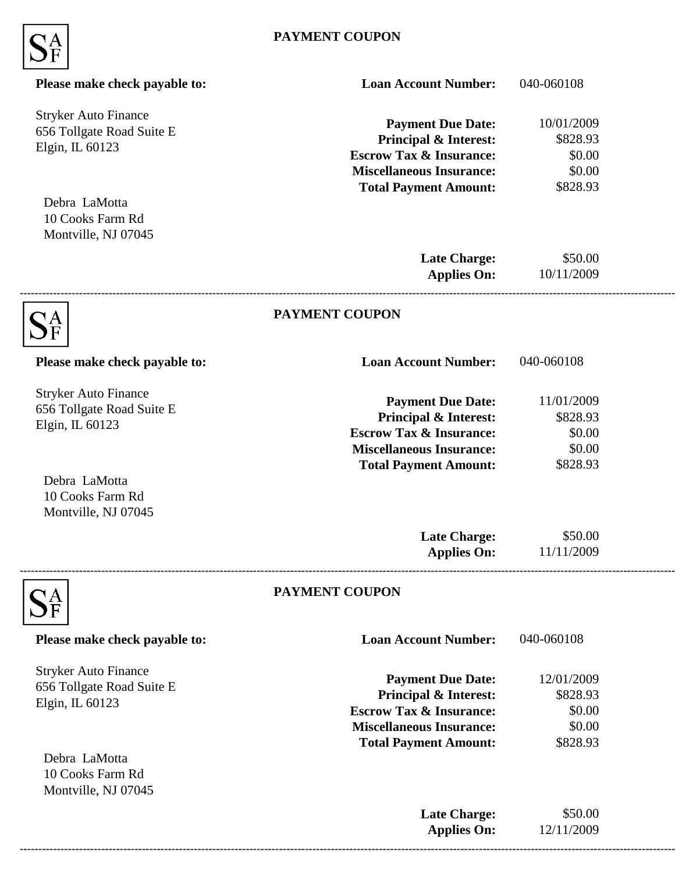

| Please make check payable to:                                               | <b>Loan Account Number:</b>                                                                                                                                           | 040-060108                                             |  |
|-----------------------------------------------------------------------------|-----------------------------------------------------------------------------------------------------------------------------------------------------------------------|--------------------------------------------------------|--|
| <b>Stryker Auto Finance</b><br>656 Tollgate Road Suite E<br>Elgin, IL 60123 | <b>Payment Due Date:</b><br>Principal & Interest:<br><b>Escrow Tax &amp; Insurance:</b><br><b>Miscellaneous Insurance:</b><br><b>Total Payment Amount:</b>            | 10/01/2009<br>\$828.93<br>\$0.00<br>\$0.00<br>\$828.93 |  |
| Debra LaMotta<br>10 Cooks Farm Rd<br>Montville, NJ 07045                    |                                                                                                                                                                       |                                                        |  |
|                                                                             | <b>Late Charge:</b><br><b>Applies On:</b>                                                                                                                             | \$50.00<br>10/11/2009                                  |  |
|                                                                             | <b>PAYMENT COUPON</b>                                                                                                                                                 |                                                        |  |
| Please make check payable to:                                               | <b>Loan Account Number:</b>                                                                                                                                           | 040-060108                                             |  |
| <b>Stryker Auto Finance</b><br>656 Tollgate Road Suite E<br>Elgin, IL 60123 | <b>Payment Due Date:</b><br><b>Principal &amp; Interest:</b><br><b>Escrow Tax &amp; Insurance:</b><br><b>Miscellaneous Insurance:</b>                                 | 11/01/2009<br>\$828.93<br>\$0.00<br>\$0.00             |  |
| Debra LaMotta<br>10 Cooks Farm Rd<br>Montville, NJ 07045                    | <b>Total Payment Amount:</b>                                                                                                                                          | \$828.93                                               |  |
|                                                                             | <b>Late Charge:</b><br><b>Applies On:</b>                                                                                                                             | \$50.00<br>11/11/2009                                  |  |
|                                                                             | PAYMENT COUPON                                                                                                                                                        |                                                        |  |
| Please make check payable to:                                               | <b>Loan Account Number:</b>                                                                                                                                           | 040-060108                                             |  |
| <b>Stryker Auto Finance</b><br>656 Tollgate Road Suite E<br>Elgin, IL 60123 | <b>Payment Due Date:</b><br><b>Principal &amp; Interest:</b><br><b>Escrow Tax &amp; Insurance:</b><br><b>Miscellaneous Insurance:</b><br><b>Total Payment Amount:</b> | 12/01/2009<br>\$828.93<br>\$0.00<br>\$0.00<br>\$828.93 |  |
| Debra LaMotta<br>10 Cooks Farm Rd<br>Montville, NJ 07045                    |                                                                                                                                                                       |                                                        |  |
|                                                                             | <b>Late Charge:</b><br><b>Applies On:</b>                                                                                                                             | \$50.00<br>12/11/2009                                  |  |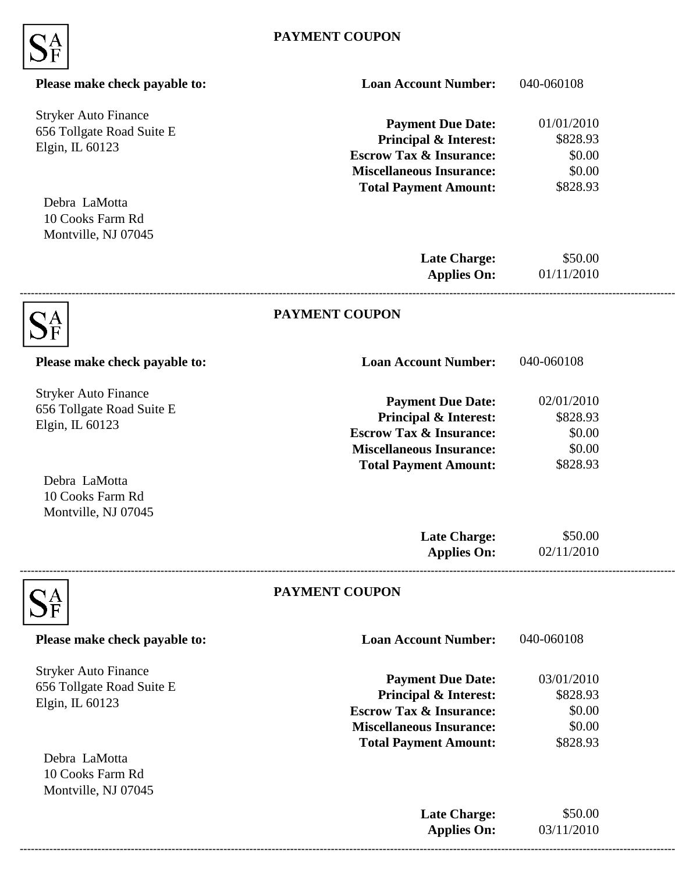

| Please make check payable to:                                               | <b>Loan Account Number:</b>                                                                                                                                           | 040-060108                                             |  |
|-----------------------------------------------------------------------------|-----------------------------------------------------------------------------------------------------------------------------------------------------------------------|--------------------------------------------------------|--|
| <b>Stryker Auto Finance</b><br>656 Tollgate Road Suite E<br>Elgin, IL 60123 | <b>Payment Due Date:</b><br>Principal & Interest:<br><b>Escrow Tax &amp; Insurance:</b><br><b>Miscellaneous Insurance:</b><br><b>Total Payment Amount:</b>            | 01/01/2010<br>\$828.93<br>\$0.00<br>\$0.00<br>\$828.93 |  |
| Debra LaMotta<br>10 Cooks Farm Rd<br>Montville, NJ 07045                    |                                                                                                                                                                       |                                                        |  |
|                                                                             | <b>Late Charge:</b><br><b>Applies On:</b>                                                                                                                             | \$50.00<br>01/11/2010                                  |  |
|                                                                             | <b>PAYMENT COUPON</b>                                                                                                                                                 |                                                        |  |
| Please make check payable to:                                               | <b>Loan Account Number:</b>                                                                                                                                           | 040-060108                                             |  |
| <b>Stryker Auto Finance</b><br>656 Tollgate Road Suite E<br>Elgin, IL 60123 | <b>Payment Due Date:</b><br><b>Principal &amp; Interest:</b><br><b>Escrow Tax &amp; Insurance:</b><br><b>Miscellaneous Insurance:</b>                                 | 02/01/2010<br>\$828.93<br>\$0.00<br>\$0.00             |  |
| Debra LaMotta<br>10 Cooks Farm Rd<br>Montville, NJ 07045                    | <b>Total Payment Amount:</b>                                                                                                                                          | \$828.93                                               |  |
|                                                                             | <b>Late Charge:</b><br><b>Applies On:</b>                                                                                                                             | \$50.00<br>02/11/2010                                  |  |
|                                                                             | PAYMENT COUPON                                                                                                                                                        |                                                        |  |
| Please make check payable to:                                               | <b>Loan Account Number:</b>                                                                                                                                           | 040-060108                                             |  |
| <b>Stryker Auto Finance</b><br>656 Tollgate Road Suite E<br>Elgin, IL 60123 | <b>Payment Due Date:</b><br><b>Principal &amp; Interest:</b><br><b>Escrow Tax &amp; Insurance:</b><br><b>Miscellaneous Insurance:</b><br><b>Total Payment Amount:</b> | 03/01/2010<br>\$828.93<br>\$0.00<br>\$0.00<br>\$828.93 |  |
| Debra LaMotta<br>10 Cooks Farm Rd<br>Montville, NJ 07045                    |                                                                                                                                                                       |                                                        |  |
|                                                                             | <b>Late Charge:</b><br><b>Applies On:</b>                                                                                                                             | \$50.00<br>03/11/2010                                  |  |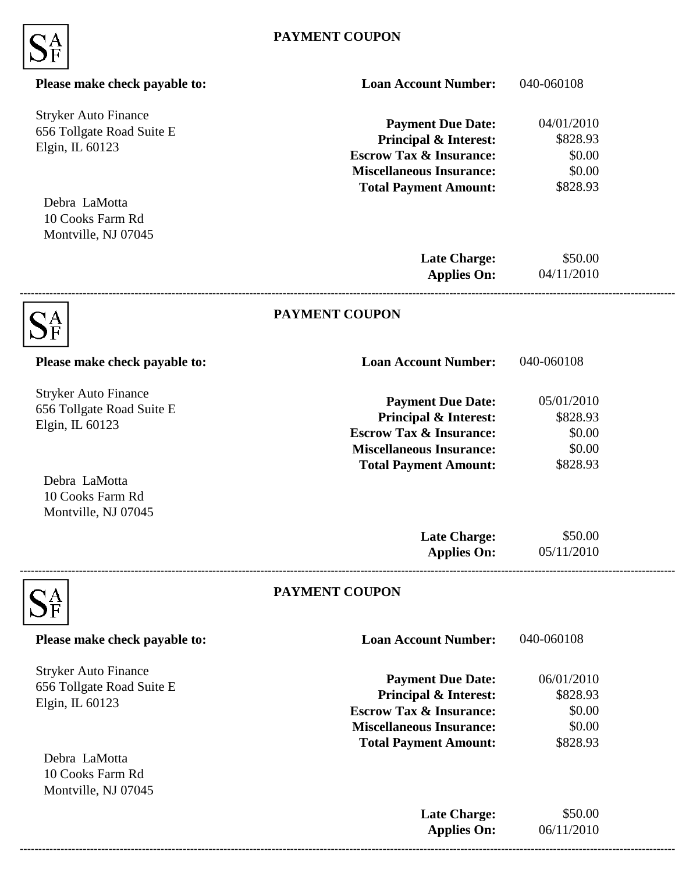

| Please make check payable to:                                               | <b>Loan Account Number:</b>                                                                                                                                           | 040-060108                                             |  |
|-----------------------------------------------------------------------------|-----------------------------------------------------------------------------------------------------------------------------------------------------------------------|--------------------------------------------------------|--|
| <b>Stryker Auto Finance</b><br>656 Tollgate Road Suite E<br>Elgin, IL 60123 | <b>Payment Due Date:</b><br>Principal & Interest:<br><b>Escrow Tax &amp; Insurance:</b><br><b>Miscellaneous Insurance:</b><br><b>Total Payment Amount:</b>            | 04/01/2010<br>\$828.93<br>\$0.00<br>\$0.00<br>\$828.93 |  |
| Debra LaMotta<br>10 Cooks Farm Rd<br>Montville, NJ 07045                    |                                                                                                                                                                       |                                                        |  |
|                                                                             | <b>Late Charge:</b><br><b>Applies On:</b>                                                                                                                             | \$50.00<br>04/11/2010                                  |  |
|                                                                             | <b>PAYMENT COUPON</b>                                                                                                                                                 |                                                        |  |
| Please make check payable to:                                               | <b>Loan Account Number:</b>                                                                                                                                           | 040-060108                                             |  |
| <b>Stryker Auto Finance</b><br>656 Tollgate Road Suite E<br>Elgin, IL 60123 | <b>Payment Due Date:</b><br><b>Principal &amp; Interest:</b><br><b>Escrow Tax &amp; Insurance:</b><br><b>Miscellaneous Insurance:</b>                                 | 05/01/2010<br>\$828.93<br>\$0.00<br>\$0.00             |  |
| Debra LaMotta<br>10 Cooks Farm Rd<br>Montville, NJ 07045                    | <b>Total Payment Amount:</b>                                                                                                                                          | \$828.93                                               |  |
|                                                                             | <b>Late Charge:</b><br><b>Applies On:</b>                                                                                                                             | \$50.00<br>05/11/2010                                  |  |
|                                                                             | <b>PAYMENT COUPON</b>                                                                                                                                                 |                                                        |  |
| Please make check payable to:                                               | <b>Loan Account Number:</b>                                                                                                                                           | 040-060108                                             |  |
| <b>Stryker Auto Finance</b><br>656 Tollgate Road Suite E<br>Elgin, IL 60123 | <b>Payment Due Date:</b><br><b>Principal &amp; Interest:</b><br><b>Escrow Tax &amp; Insurance:</b><br><b>Miscellaneous Insurance:</b><br><b>Total Payment Amount:</b> | 06/01/2010<br>\$828.93<br>\$0.00<br>\$0.00<br>\$828.93 |  |
| Debra LaMotta<br>10 Cooks Farm Rd<br>Montville, NJ 07045                    |                                                                                                                                                                       |                                                        |  |
|                                                                             | <b>Late Charge:</b><br><b>Applies On:</b>                                                                                                                             | \$50.00<br>06/11/2010                                  |  |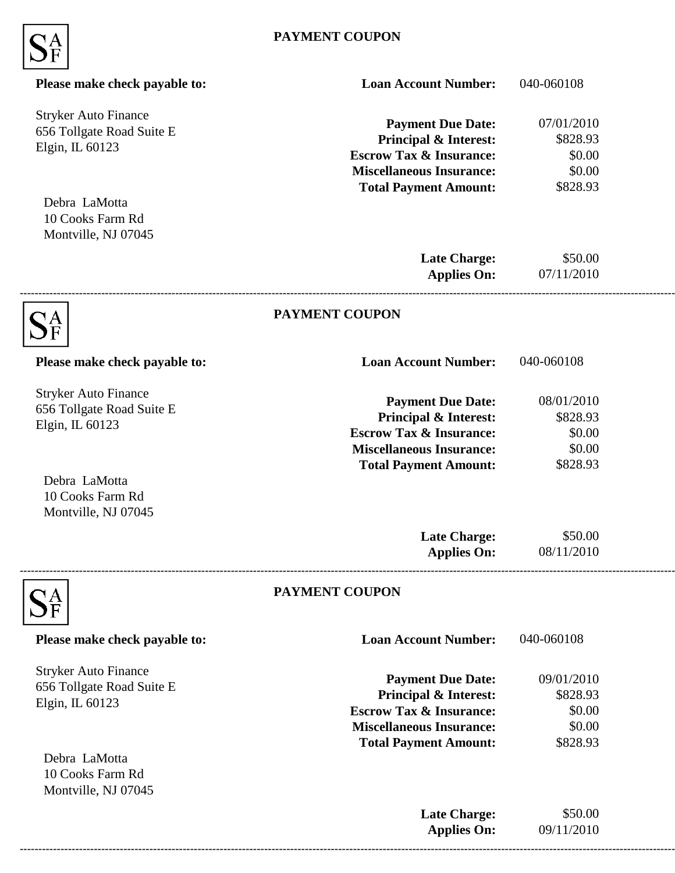

| Please make check payable to:                                               | <b>Loan Account Number:</b>                                                                                                                                           | 040-060108                                             |  |
|-----------------------------------------------------------------------------|-----------------------------------------------------------------------------------------------------------------------------------------------------------------------|--------------------------------------------------------|--|
| <b>Stryker Auto Finance</b><br>656 Tollgate Road Suite E<br>Elgin, IL 60123 | <b>Payment Due Date:</b><br>Principal & Interest:<br><b>Escrow Tax &amp; Insurance:</b><br><b>Miscellaneous Insurance:</b><br><b>Total Payment Amount:</b>            | 07/01/2010<br>\$828.93<br>\$0.00<br>\$0.00<br>\$828.93 |  |
| Debra LaMotta<br>10 Cooks Farm Rd<br>Montville, NJ 07045                    |                                                                                                                                                                       |                                                        |  |
|                                                                             | <b>Late Charge:</b><br><b>Applies On:</b>                                                                                                                             | \$50.00<br>07/11/2010                                  |  |
|                                                                             | <b>PAYMENT COUPON</b>                                                                                                                                                 |                                                        |  |
| Please make check payable to:                                               | <b>Loan Account Number:</b>                                                                                                                                           | 040-060108                                             |  |
| <b>Stryker Auto Finance</b><br>656 Tollgate Road Suite E<br>Elgin, IL 60123 | <b>Payment Due Date:</b><br><b>Principal &amp; Interest:</b><br><b>Escrow Tax &amp; Insurance:</b><br><b>Miscellaneous Insurance:</b>                                 | 08/01/2010<br>\$828.93<br>\$0.00<br>\$0.00             |  |
| Debra LaMotta<br>10 Cooks Farm Rd<br>Montville, NJ 07045                    | <b>Total Payment Amount:</b>                                                                                                                                          | \$828.93                                               |  |
|                                                                             | <b>Late Charge:</b><br><b>Applies On:</b>                                                                                                                             | \$50.00<br>08/11/2010                                  |  |
|                                                                             | PAYMENT COUPON                                                                                                                                                        |                                                        |  |
| Please make check payable to:                                               | <b>Loan Account Number:</b>                                                                                                                                           | 040-060108                                             |  |
| <b>Stryker Auto Finance</b><br>656 Tollgate Road Suite E<br>Elgin, IL 60123 | <b>Payment Due Date:</b><br><b>Principal &amp; Interest:</b><br><b>Escrow Tax &amp; Insurance:</b><br><b>Miscellaneous Insurance:</b><br><b>Total Payment Amount:</b> | 09/01/2010<br>\$828.93<br>\$0.00<br>\$0.00<br>\$828.93 |  |
| Debra LaMotta<br>10 Cooks Farm Rd<br>Montville, NJ 07045                    |                                                                                                                                                                       |                                                        |  |
|                                                                             | <b>Late Charge:</b><br><b>Applies On:</b>                                                                                                                             | \$50.00<br>09/11/2010                                  |  |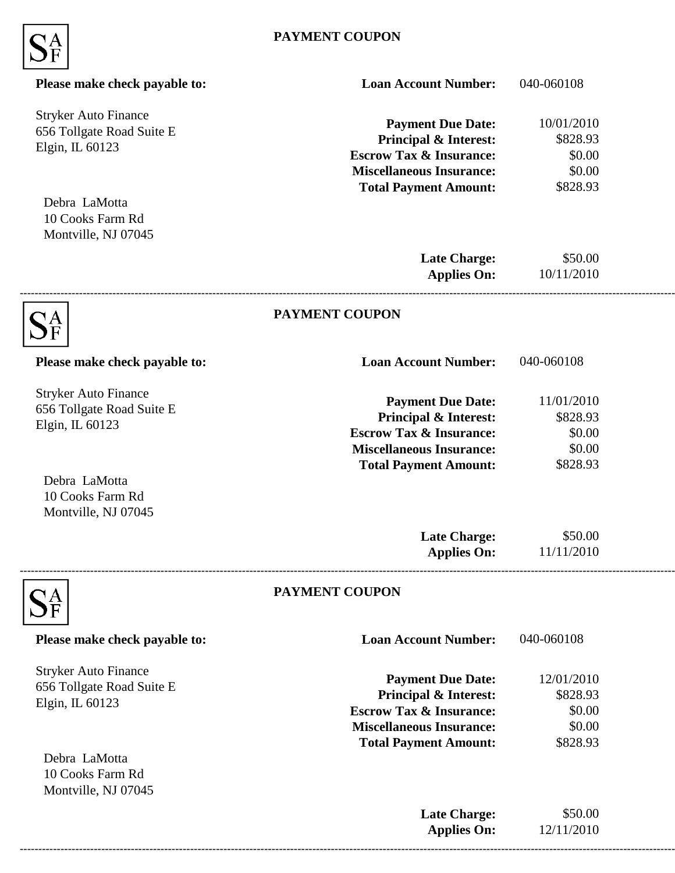

| Please make check payable to:                                               | <b>Loan Account Number:</b>                                                                                                                                           | 040-060108                                             |  |
|-----------------------------------------------------------------------------|-----------------------------------------------------------------------------------------------------------------------------------------------------------------------|--------------------------------------------------------|--|
| <b>Stryker Auto Finance</b><br>656 Tollgate Road Suite E<br>Elgin, IL 60123 | <b>Payment Due Date:</b><br><b>Principal &amp; Interest:</b><br><b>Escrow Tax &amp; Insurance:</b><br><b>Miscellaneous Insurance:</b><br><b>Total Payment Amount:</b> | 10/01/2010<br>\$828.93<br>\$0.00<br>\$0.00<br>\$828.93 |  |
| Debra LaMotta<br>10 Cooks Farm Rd<br>Montville, NJ 07045                    |                                                                                                                                                                       |                                                        |  |
|                                                                             | <b>Late Charge:</b><br><b>Applies On:</b>                                                                                                                             | \$50.00<br>10/11/2010                                  |  |
|                                                                             | <b>PAYMENT COUPON</b>                                                                                                                                                 |                                                        |  |
| Please make check payable to:                                               | <b>Loan Account Number:</b>                                                                                                                                           | 040-060108                                             |  |
| <b>Stryker Auto Finance</b><br>656 Tollgate Road Suite E<br>Elgin, IL 60123 | <b>Payment Due Date:</b><br><b>Principal &amp; Interest:</b><br><b>Escrow Tax &amp; Insurance:</b><br><b>Miscellaneous Insurance:</b>                                 | 11/01/2010<br>\$828.93<br>\$0.00<br>\$0.00             |  |
| Debra LaMotta<br>10 Cooks Farm Rd<br>Montville, NJ 07045                    | <b>Total Payment Amount:</b>                                                                                                                                          | \$828.93                                               |  |
|                                                                             | <b>Late Charge:</b><br><b>Applies On:</b>                                                                                                                             | \$50.00<br>11/11/2010                                  |  |
|                                                                             | PAYMENT COUPON                                                                                                                                                        |                                                        |  |
| Please make check payable to:                                               | <b>Loan Account Number:</b>                                                                                                                                           | 040-060108                                             |  |
| <b>Stryker Auto Finance</b><br>656 Tollgate Road Suite E<br>Elgin, IL 60123 | <b>Payment Due Date:</b><br><b>Principal &amp; Interest:</b><br><b>Escrow Tax &amp; Insurance:</b><br><b>Miscellaneous Insurance:</b><br><b>Total Payment Amount:</b> | 12/01/2010<br>\$828.93<br>\$0.00<br>\$0.00<br>\$828.93 |  |
| Debra LaMotta<br>10 Cooks Farm Rd<br>Montville, NJ 07045                    |                                                                                                                                                                       |                                                        |  |
|                                                                             | <b>Late Charge:</b><br><b>Applies On:</b>                                                                                                                             | \$50.00<br>12/11/2010                                  |  |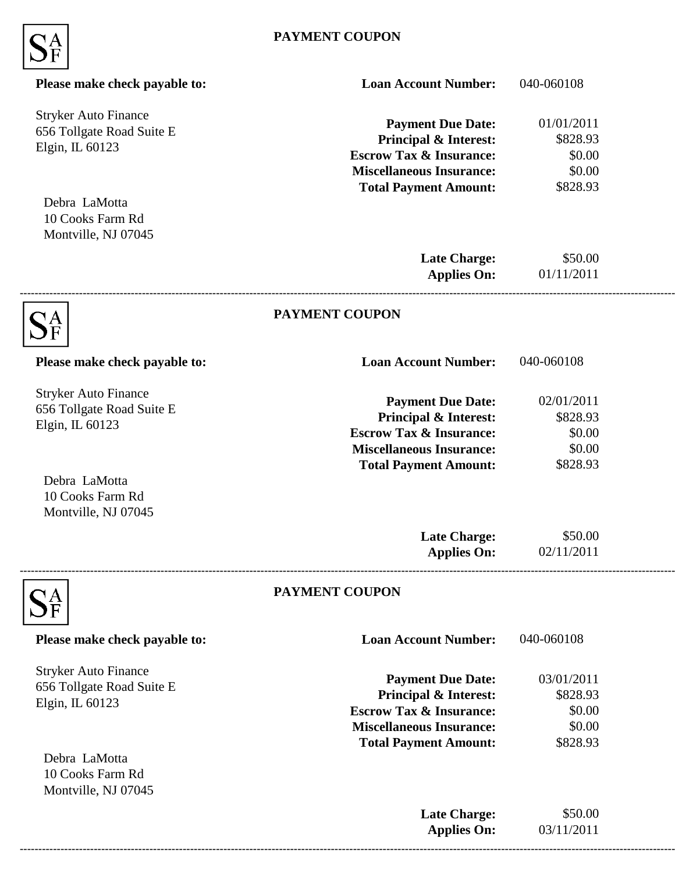

| Please make check payable to:                                               | <b>Loan Account Number:</b>                                                                                                                                           | 040-060108                                             |  |
|-----------------------------------------------------------------------------|-----------------------------------------------------------------------------------------------------------------------------------------------------------------------|--------------------------------------------------------|--|
| <b>Stryker Auto Finance</b><br>656 Tollgate Road Suite E<br>Elgin, IL 60123 | <b>Payment Due Date:</b><br><b>Principal &amp; Interest:</b><br><b>Escrow Tax &amp; Insurance:</b><br><b>Miscellaneous Insurance:</b><br><b>Total Payment Amount:</b> | 01/01/2011<br>\$828.93<br>\$0.00<br>\$0.00<br>\$828.93 |  |
| Debra LaMotta<br>10 Cooks Farm Rd<br>Montville, NJ 07045                    |                                                                                                                                                                       |                                                        |  |
|                                                                             | <b>Late Charge:</b><br><b>Applies On:</b>                                                                                                                             | \$50.00<br>01/11/2011                                  |  |
|                                                                             | <b>PAYMENT COUPON</b>                                                                                                                                                 |                                                        |  |
| Please make check payable to:                                               | <b>Loan Account Number:</b>                                                                                                                                           | 040-060108                                             |  |
| <b>Stryker Auto Finance</b><br>656 Tollgate Road Suite E<br>Elgin, IL 60123 | <b>Payment Due Date:</b><br><b>Principal &amp; Interest:</b><br><b>Escrow Tax &amp; Insurance:</b><br><b>Miscellaneous Insurance:</b>                                 | 02/01/2011<br>\$828.93<br>\$0.00<br>\$0.00             |  |
| Debra LaMotta<br>10 Cooks Farm Rd<br>Montville, NJ 07045                    | <b>Total Payment Amount:</b>                                                                                                                                          | \$828.93                                               |  |
|                                                                             | <b>Late Charge:</b><br><b>Applies On:</b>                                                                                                                             | \$50.00<br>02/11/2011                                  |  |
|                                                                             | PAYMENT COUPON                                                                                                                                                        |                                                        |  |
| Please make check payable to:                                               | <b>Loan Account Number:</b>                                                                                                                                           | 040-060108                                             |  |
| <b>Stryker Auto Finance</b><br>656 Tollgate Road Suite E<br>Elgin, IL 60123 | <b>Payment Due Date:</b><br><b>Principal &amp; Interest:</b><br><b>Escrow Tax &amp; Insurance:</b><br><b>Miscellaneous Insurance:</b><br><b>Total Payment Amount:</b> | 03/01/2011<br>\$828.93<br>\$0.00<br>\$0.00<br>\$828.93 |  |
| Debra LaMotta<br>10 Cooks Farm Rd<br>Montville, NJ 07045                    |                                                                                                                                                                       |                                                        |  |
|                                                                             | <b>Late Charge:</b><br><b>Applies On:</b>                                                                                                                             | \$50.00<br>03/11/2011                                  |  |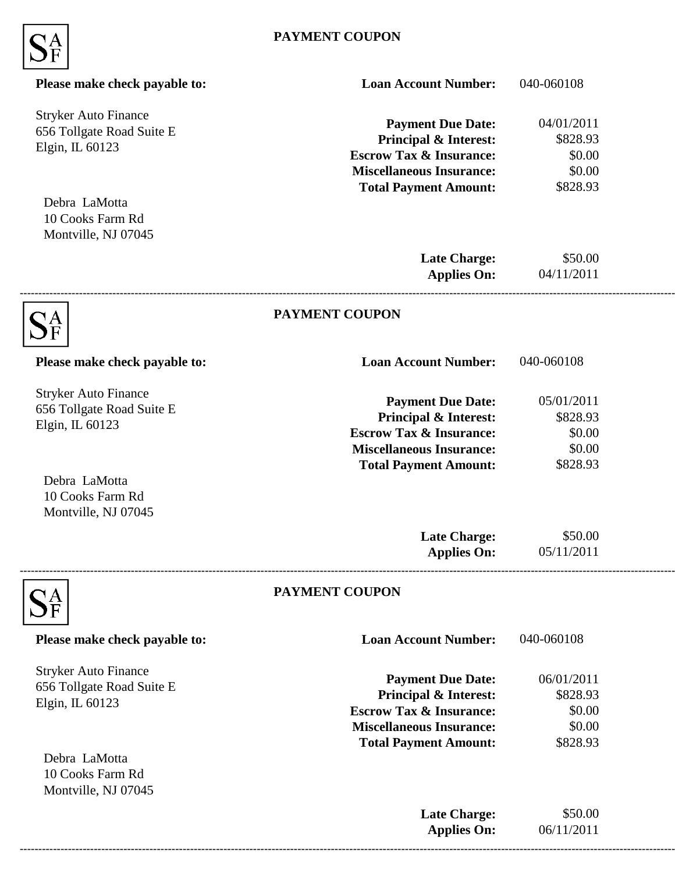

| Please make check payable to:                                               | <b>Loan Account Number:</b>                                                                                                                                           | 040-060108                                             |  |
|-----------------------------------------------------------------------------|-----------------------------------------------------------------------------------------------------------------------------------------------------------------------|--------------------------------------------------------|--|
| <b>Stryker Auto Finance</b><br>656 Tollgate Road Suite E<br>Elgin, IL 60123 | <b>Payment Due Date:</b><br><b>Principal &amp; Interest:</b><br><b>Escrow Tax &amp; Insurance:</b><br><b>Miscellaneous Insurance:</b><br><b>Total Payment Amount:</b> | 04/01/2011<br>\$828.93<br>\$0.00<br>\$0.00<br>\$828.93 |  |
| Debra LaMotta<br>10 Cooks Farm Rd<br>Montville, NJ 07045                    |                                                                                                                                                                       |                                                        |  |
|                                                                             | <b>Late Charge:</b><br><b>Applies On:</b>                                                                                                                             | \$50.00<br>04/11/2011                                  |  |
|                                                                             | <b>PAYMENT COUPON</b>                                                                                                                                                 |                                                        |  |
| Please make check payable to:                                               | <b>Loan Account Number:</b>                                                                                                                                           | 040-060108                                             |  |
| <b>Stryker Auto Finance</b><br>656 Tollgate Road Suite E<br>Elgin, IL 60123 | <b>Payment Due Date:</b><br><b>Principal &amp; Interest:</b><br><b>Escrow Tax &amp; Insurance:</b><br><b>Miscellaneous Insurance:</b>                                 | 05/01/2011<br>\$828.93<br>\$0.00<br>\$0.00             |  |
| Debra LaMotta<br>10 Cooks Farm Rd<br>Montville, NJ 07045                    | <b>Total Payment Amount:</b>                                                                                                                                          | \$828.93                                               |  |
|                                                                             | <b>Late Charge:</b><br><b>Applies On:</b>                                                                                                                             | \$50.00<br>05/11/2011                                  |  |
|                                                                             | PAYMENT COUPON                                                                                                                                                        |                                                        |  |
| Please make check payable to:                                               | <b>Loan Account Number:</b>                                                                                                                                           | 040-060108                                             |  |
| <b>Stryker Auto Finance</b><br>656 Tollgate Road Suite E<br>Elgin, IL 60123 | <b>Payment Due Date:</b><br><b>Principal &amp; Interest:</b><br><b>Escrow Tax &amp; Insurance:</b><br><b>Miscellaneous Insurance:</b><br><b>Total Payment Amount:</b> | 06/01/2011<br>\$828.93<br>\$0.00<br>\$0.00<br>\$828.93 |  |
| Debra LaMotta<br>10 Cooks Farm Rd<br>Montville, NJ 07045                    |                                                                                                                                                                       |                                                        |  |
|                                                                             | <b>Late Charge:</b><br><b>Applies On:</b>                                                                                                                             | \$50.00<br>06/11/2011                                  |  |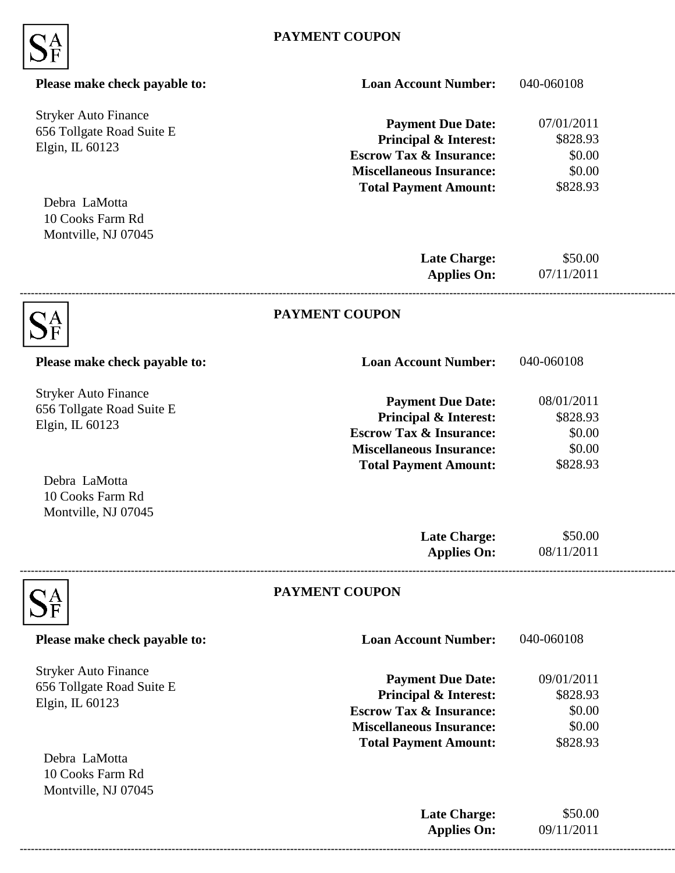

| Please make check payable to:                                               | <b>Loan Account Number:</b>                                                                                                                                           | 040-060108                                             |  |
|-----------------------------------------------------------------------------|-----------------------------------------------------------------------------------------------------------------------------------------------------------------------|--------------------------------------------------------|--|
| <b>Stryker Auto Finance</b><br>656 Tollgate Road Suite E<br>Elgin, IL 60123 | <b>Payment Due Date:</b><br>Principal & Interest:<br><b>Escrow Tax &amp; Insurance:</b><br><b>Miscellaneous Insurance:</b><br><b>Total Payment Amount:</b>            | 07/01/2011<br>\$828.93<br>\$0.00<br>\$0.00<br>\$828.93 |  |
| Debra LaMotta<br>10 Cooks Farm Rd<br>Montville, NJ 07045                    |                                                                                                                                                                       |                                                        |  |
|                                                                             | <b>Late Charge:</b><br><b>Applies On:</b>                                                                                                                             | \$50.00<br>07/11/2011                                  |  |
|                                                                             | <b>PAYMENT COUPON</b>                                                                                                                                                 |                                                        |  |
| Please make check payable to:                                               | <b>Loan Account Number:</b>                                                                                                                                           | 040-060108                                             |  |
| <b>Stryker Auto Finance</b><br>656 Tollgate Road Suite E<br>Elgin, IL 60123 | <b>Payment Due Date:</b><br><b>Principal &amp; Interest:</b><br><b>Escrow Tax &amp; Insurance:</b><br><b>Miscellaneous Insurance:</b>                                 | 08/01/2011<br>\$828.93<br>\$0.00<br>\$0.00             |  |
| Debra LaMotta<br>10 Cooks Farm Rd<br>Montville, NJ 07045                    | <b>Total Payment Amount:</b>                                                                                                                                          | \$828.93                                               |  |
|                                                                             | <b>Late Charge:</b><br><b>Applies On:</b>                                                                                                                             | \$50.00<br>08/11/2011                                  |  |
|                                                                             | PAYMENT COUPON                                                                                                                                                        |                                                        |  |
| Please make check payable to:                                               | <b>Loan Account Number:</b>                                                                                                                                           | 040-060108                                             |  |
| <b>Stryker Auto Finance</b><br>656 Tollgate Road Suite E<br>Elgin, IL 60123 | <b>Payment Due Date:</b><br><b>Principal &amp; Interest:</b><br><b>Escrow Tax &amp; Insurance:</b><br><b>Miscellaneous Insurance:</b><br><b>Total Payment Amount:</b> | 09/01/2011<br>\$828.93<br>\$0.00<br>\$0.00<br>\$828.93 |  |
| Debra LaMotta<br>10 Cooks Farm Rd<br>Montville, NJ 07045                    |                                                                                                                                                                       |                                                        |  |
|                                                                             | <b>Late Charge:</b><br><b>Applies On:</b>                                                                                                                             | \$50.00<br>09/11/2011                                  |  |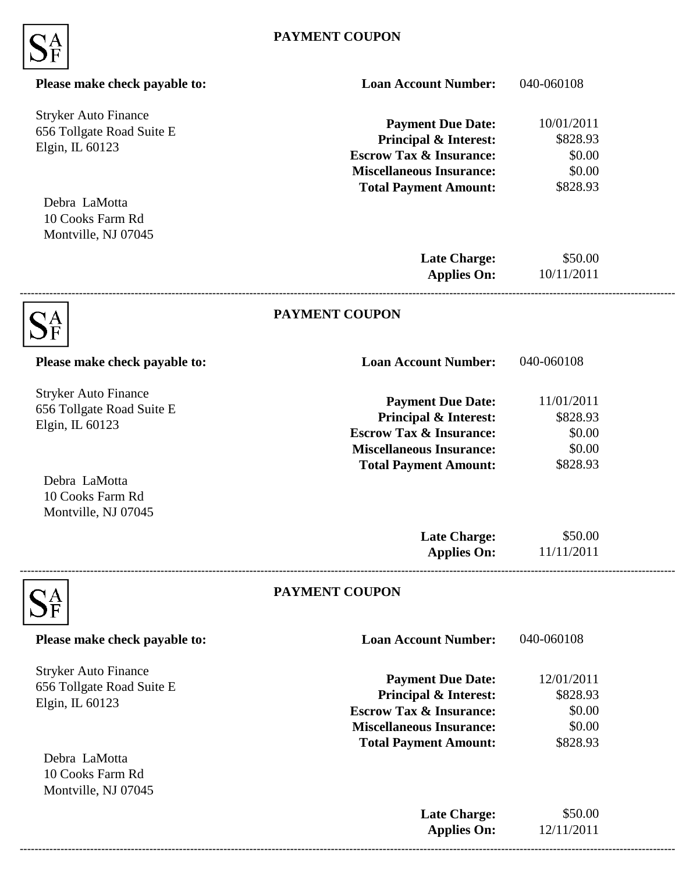

| Please make check payable to:                                               | <b>Loan Account Number:</b>                                                                                                                                           | 040-060108                                             |  |
|-----------------------------------------------------------------------------|-----------------------------------------------------------------------------------------------------------------------------------------------------------------------|--------------------------------------------------------|--|
| <b>Stryker Auto Finance</b><br>656 Tollgate Road Suite E<br>Elgin, IL 60123 | <b>Payment Due Date:</b><br><b>Principal &amp; Interest:</b><br><b>Escrow Tax &amp; Insurance:</b><br><b>Miscellaneous Insurance:</b><br><b>Total Payment Amount:</b> | 10/01/2011<br>\$828.93<br>\$0.00<br>\$0.00<br>\$828.93 |  |
| Debra LaMotta<br>10 Cooks Farm Rd<br>Montville, NJ 07045                    |                                                                                                                                                                       |                                                        |  |
|                                                                             | <b>Late Charge:</b><br><b>Applies On:</b>                                                                                                                             | \$50.00<br>10/11/2011                                  |  |
|                                                                             | <b>PAYMENT COUPON</b>                                                                                                                                                 |                                                        |  |
| Please make check payable to:                                               | <b>Loan Account Number:</b>                                                                                                                                           | 040-060108                                             |  |
| <b>Stryker Auto Finance</b><br>656 Tollgate Road Suite E<br>Elgin, IL 60123 | <b>Payment Due Date:</b><br><b>Principal &amp; Interest:</b><br><b>Escrow Tax &amp; Insurance:</b><br><b>Miscellaneous Insurance:</b>                                 | 11/01/2011<br>\$828.93<br>\$0.00<br>\$0.00             |  |
| Debra LaMotta<br>10 Cooks Farm Rd<br>Montville, NJ 07045                    | <b>Total Payment Amount:</b>                                                                                                                                          | \$828.93                                               |  |
|                                                                             | <b>Late Charge:</b><br><b>Applies On:</b>                                                                                                                             | \$50.00<br>11/11/2011                                  |  |
|                                                                             | PAYMENT COUPON                                                                                                                                                        |                                                        |  |
| Please make check payable to:                                               | <b>Loan Account Number:</b>                                                                                                                                           | 040-060108                                             |  |
| <b>Stryker Auto Finance</b><br>656 Tollgate Road Suite E<br>Elgin, IL 60123 | <b>Payment Due Date:</b><br><b>Principal &amp; Interest:</b><br><b>Escrow Tax &amp; Insurance:</b><br><b>Miscellaneous Insurance:</b><br><b>Total Payment Amount:</b> | 12/01/2011<br>\$828.93<br>\$0.00<br>\$0.00<br>\$828.93 |  |
| Debra LaMotta<br>10 Cooks Farm Rd<br>Montville, NJ 07045                    |                                                                                                                                                                       |                                                        |  |
|                                                                             | <b>Late Charge:</b><br><b>Applies On:</b>                                                                                                                             | \$50.00<br>12/11/2011                                  |  |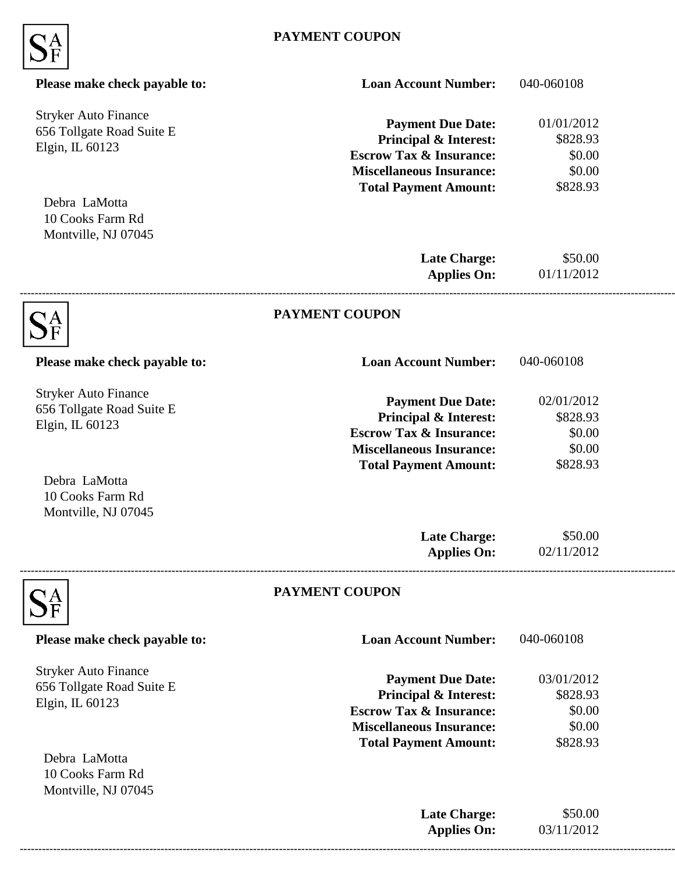

| Please make check payable to:                                               | <b>Loan Account Number:</b>                                                                                                                                           | 040-060108                                             |  |
|-----------------------------------------------------------------------------|-----------------------------------------------------------------------------------------------------------------------------------------------------------------------|--------------------------------------------------------|--|
| <b>Stryker Auto Finance</b><br>656 Tollgate Road Suite E<br>Elgin, IL 60123 | <b>Payment Due Date:</b><br>Principal & Interest:<br><b>Escrow Tax &amp; Insurance:</b><br><b>Miscellaneous Insurance:</b><br><b>Total Payment Amount:</b>            | 01/01/2012<br>\$828.93<br>\$0.00<br>\$0.00<br>\$828.93 |  |
| Debra LaMotta<br>10 Cooks Farm Rd<br>Montville, NJ 07045                    |                                                                                                                                                                       |                                                        |  |
|                                                                             | <b>Late Charge:</b><br><b>Applies On:</b>                                                                                                                             | \$50.00<br>01/11/2012                                  |  |
|                                                                             | <b>PAYMENT COUPON</b>                                                                                                                                                 |                                                        |  |
| Please make check payable to:                                               | <b>Loan Account Number:</b>                                                                                                                                           | 040-060108                                             |  |
| <b>Stryker Auto Finance</b><br>656 Tollgate Road Suite E<br>Elgin, IL 60123 | <b>Payment Due Date:</b><br><b>Principal &amp; Interest:</b><br><b>Escrow Tax &amp; Insurance:</b><br><b>Miscellaneous Insurance:</b>                                 | 02/01/2012<br>\$828.93<br>\$0.00<br>\$0.00             |  |
| Debra LaMotta<br>10 Cooks Farm Rd<br>Montville, NJ 07045                    | <b>Total Payment Amount:</b>                                                                                                                                          | \$828.93                                               |  |
|                                                                             | <b>Late Charge:</b><br><b>Applies On:</b>                                                                                                                             | \$50.00<br>02/11/2012                                  |  |
|                                                                             | PAYMENT COUPON                                                                                                                                                        |                                                        |  |
| Please make check payable to:                                               | <b>Loan Account Number:</b>                                                                                                                                           | 040-060108                                             |  |
| <b>Stryker Auto Finance</b><br>656 Tollgate Road Suite E<br>Elgin, IL 60123 | <b>Payment Due Date:</b><br><b>Principal &amp; Interest:</b><br><b>Escrow Tax &amp; Insurance:</b><br><b>Miscellaneous Insurance:</b><br><b>Total Payment Amount:</b> | 03/01/2012<br>\$828.93<br>\$0.00<br>\$0.00<br>\$828.93 |  |
| Debra LaMotta<br>10 Cooks Farm Rd<br>Montville, NJ 07045                    |                                                                                                                                                                       |                                                        |  |
|                                                                             | <b>Late Charge:</b><br><b>Applies On:</b>                                                                                                                             | \$50.00<br>03/11/2012                                  |  |